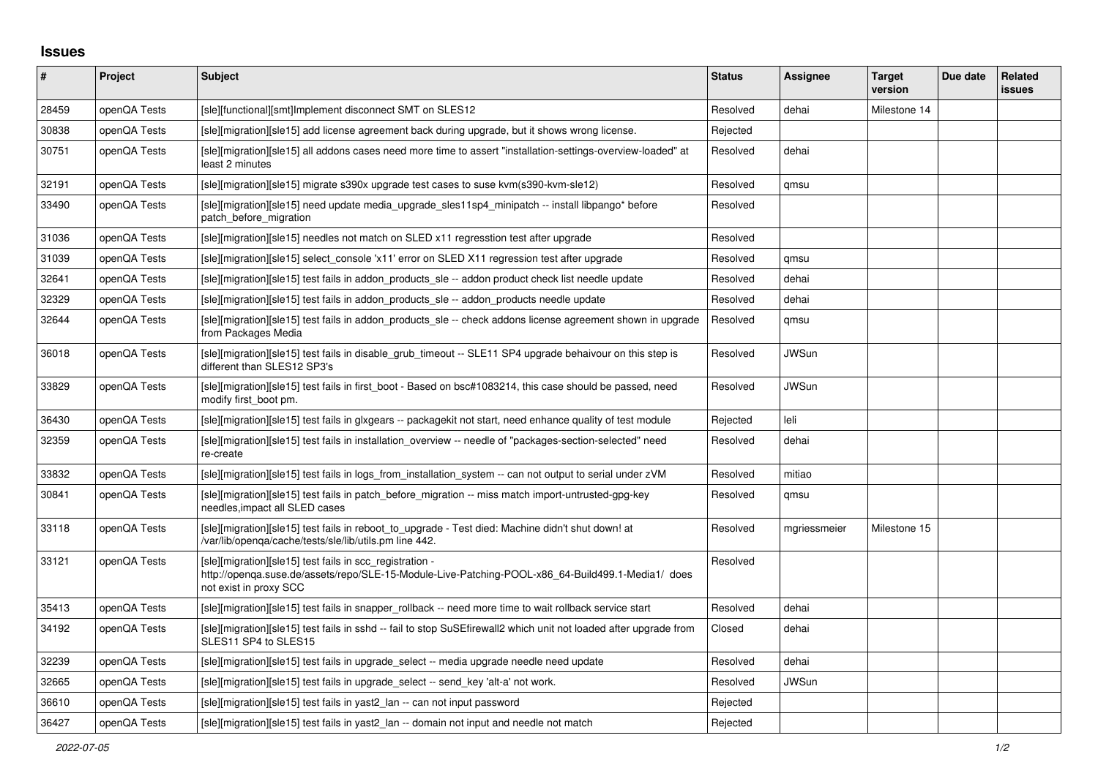## **Issues**

| #     | Project      | <b>Subject</b>                                                                                                                                                                          | <b>Status</b> | Assignee     | <b>Target</b><br>version | Due date | Related<br>issues |
|-------|--------------|-----------------------------------------------------------------------------------------------------------------------------------------------------------------------------------------|---------------|--------------|--------------------------|----------|-------------------|
| 28459 | openQA Tests | [sle][functional][smt]Implement disconnect SMT on SLES12                                                                                                                                | Resolved      | dehai        | Milestone 14             |          |                   |
| 30838 | openQA Tests | [sle][migration][sle15] add license agreement back during upgrade, but it shows wrong license.                                                                                          | Rejected      |              |                          |          |                   |
| 30751 | openQA Tests | [sle][migration][sle15] all addons cases need more time to assert "installation-settings-overview-loaded" at<br>least 2 minutes                                                         | Resolved      | dehai        |                          |          |                   |
| 32191 | openQA Tests | [sle][migration][sle15] migrate s390x upgrade test cases to suse kvm(s390-kvm-sle12)                                                                                                    | Resolved      | qmsu         |                          |          |                   |
| 33490 | openQA Tests | [sle][migration][sle15] need update media upgrade sles11sp4 minipatch -- install libpango* before<br>patch before migration                                                             | Resolved      |              |                          |          |                   |
| 31036 | openQA Tests | [sle][migration][sle15] needles not match on SLED x11 regresstion test after upgrade                                                                                                    | Resolved      |              |                          |          |                   |
| 31039 | openQA Tests | [sle][migration][sle15] select_console 'x11' error on SLED X11 regression test after upgrade                                                                                            | Resolved      | qmsu         |                          |          |                   |
| 32641 | openQA Tests | [sle][migration][sle15] test fails in addon products sle -- addon product check list needle update                                                                                      | Resolved      | dehai        |                          |          |                   |
| 32329 | openQA Tests | [sle][migration][sle15] test fails in addon products sle -- addon products needle update                                                                                                | Resolved      | dehai        |                          |          |                   |
| 32644 | openQA Tests | [sle][migration][sle15] test fails in addon products sle -- check addons license agreement shown in upgrade<br>from Packages Media                                                      | Resolved      | qmsu         |                          |          |                   |
| 36018 | openQA Tests | [sle][migration][sle15] test fails in disable_grub_timeout -- SLE11 SP4 upgrade behaivour on this step is<br>different than SLES12 SP3's                                                | Resolved      | <b>JWSun</b> |                          |          |                   |
| 33829 | openQA Tests | [sle][migration][sle15] test fails in first_boot - Based on bsc#1083214, this case should be passed, need<br>modify first_boot pm.                                                      | Resolved      | <b>JWSun</b> |                          |          |                   |
| 36430 | openQA Tests | [sle][migration][sle15] test fails in glxgears -- packagekit not start, need enhance quality of test module                                                                             | Rejected      | leli         |                          |          |                   |
| 32359 | openQA Tests | [sle][migration][sle15] test fails in installation overview -- needle of "packages-section-selected" need<br>re-create                                                                  | Resolved      | dehai        |                          |          |                   |
| 33832 | openQA Tests | [sle][migration][sle15] test fails in logs from installation system -- can not output to serial under zVM                                                                               | Resolved      | mitiao       |                          |          |                   |
| 30841 | openQA Tests | [sle][migration][sle15] test fails in patch before migration -- miss match import-untrusted-gpg-key<br>needles, impact all SLED cases                                                   | Resolved      | qmsu         |                          |          |                   |
| 33118 | openQA Tests | [sle][migration][sle15] test fails in reboot_to_upgrade - Test died: Machine didn't shut down! at<br>/var/lib/openqa/cache/tests/sle/lib/utils.pm line 442.                             | Resolved      | mgriessmeier | Milestone 15             |          |                   |
| 33121 | openQA Tests | [sle][migration][sle15] test fails in scc_registration -<br>http://openqa.suse.de/assets/repo/SLE-15-Module-Live-Patching-POOL-x86_64-Build499.1-Media1/ does<br>not exist in proxy SCC | Resolved      |              |                          |          |                   |
| 35413 | openQA Tests | [sle][migration][sle15] test fails in snapper rollback -- need more time to wait rollback service start                                                                                 | Resolved      | dehai        |                          |          |                   |
| 34192 | openQA Tests | [sle][migration][sle15] test fails in sshd -- fail to stop SuSEfirewall2 which unit not loaded after upgrade from<br>SLES11 SP4 to SLES15                                               | Closed        | dehai        |                          |          |                   |
| 32239 | openQA Tests | [sle][migration][sle15] test fails in upgrade_select -- media upgrade needle need update                                                                                                | Resolved      | dehai        |                          |          |                   |
| 32665 | openQA Tests | [sle][migration][sle15] test fails in upgrade select -- send key 'alt-a' not work.                                                                                                      | Resolved      | <b>JWSun</b> |                          |          |                   |
| 36610 | openQA Tests | [sle][migration][sle15] test fails in yast2_lan -- can not input password                                                                                                               | Rejected      |              |                          |          |                   |
| 36427 | openQA Tests | [sle][migration][sle15] test fails in yast2_lan -- domain not input and needle not match                                                                                                | Rejected      |              |                          |          |                   |